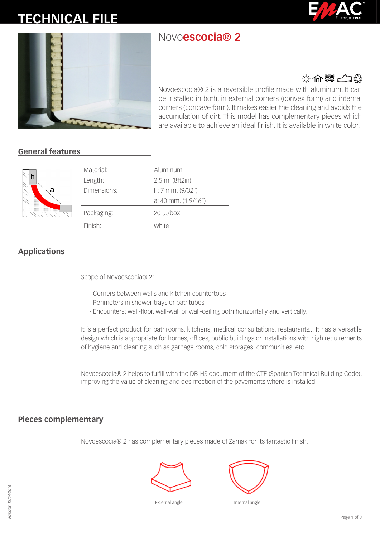# **TECHNICAL FILE**

# Novo**escocia® 2**





## 文介器公务

Novoescocia® 2 is a reversible profile made with aluminum. It can be installed in both, in external corners (convex form) and internal corners (concave form). It makes easier the cleaning and avoids the accumulation of dirt. This model has complementary pieces which are available to achieve an ideal finish. It is available in white color.

### **General features**



| Material:           | Aluminum                       |
|---------------------|--------------------------------|
| Length:             | 2,5 ml (8ft2in)                |
| Dimensions:         | $h: 7$ mm. $(9/32")$           |
|                     | $a: 40$ mm. $(1 \frac{9}{16})$ |
| Packaging:          | $20 \mu/b$ ox                  |
| Finish <sup>-</sup> | White                          |

### **Applications**

Scope of Novoescocia® 2:

- Corners between walls and kitchen countertops
- Perimeters in shower trays or bathtubes.
- Encounters: wall-floor, wall-wall or wall-ceiling botn horizontally and vertically.

It is a perfect product for bathrooms, kitchens, medical consultations, restaurants... It has a versatile design which is appropriate for homes, offices, public buildings or installations with high requirements of hygiene and cleaning such as garbage rooms, cold storages, communities, etc.

Novoescocia® 2 helps to fulfill with the DB-HS document of the CTE (Spanish Technical Building Code), improving the value of cleaning and desinfection of the pavements where is installed.

#### **Pieces complementary**

Novoescocia® 2 has complementary pieces made of Zamak for its fantastic finish.







Internal angle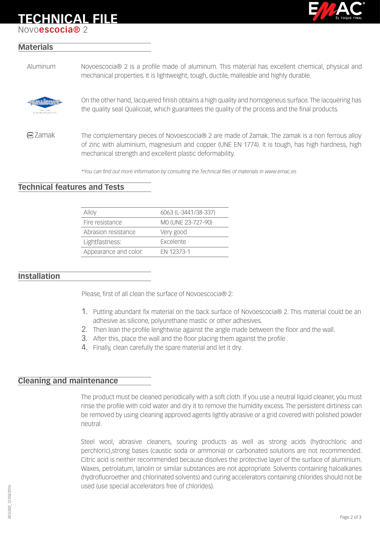# **TECHNICAL FILE**

Novo**escocia®** 2



#### **Materials**

Aluminum Novoescocia® 2 is a profile made of aluminum. This material has excellent chemical, physical and mechanical properties. It is lightweight, tough, ductile, malleable and highly durable.



On the other hand, lacquered finish obtains a high quality and homogeneus surface. The lacquering has the quality seal Qualicoat, which guarantees the quality of the process and the final products.

**EMK** Zamak The complementary pieces of Novoescocia® 2 are made of Zamak. The zamak is a non ferrous alloy of zinc with aluminium, magnesium and copper (UNE EN 1774). It is tough, has high hardness, high mechanical strength and excellent plastic deformability.

*\*You can find out more information by consulting the Technical files of materials in www.emac.es*

#### **Technical features and Tests**

| Alloy                 | 6063 (L-3441/38-337) |
|-----------------------|----------------------|
| Fire resistance       | MO (UNE 23-727-90)   |
| Abrasion resistance   | Very good            |
| Lightfastness:        | <b>Excelente</b>     |
| Appearance and color: | FN 12373-1           |

#### **Installation**

Please, first of all clean the surface of Novoescocia® 2:

- 1. Putting abundant fix material on the back surface of Novoescocia® 2. This material could be an adhesive as silicone, polyurethane mastic or other adhesives.
- 2. Then lean the profile lenghtwise against the angle made between the floor and the wall.
- 3. After this, place the wall and the floor placing them against the profile .
- 4. Finally, clean carefully the spare material and let it dry.

#### **Cleaning and maintenance**

The product must be cleaned periodically with a soft cloth. If you use a neutral liquid cleaner, you must rinse the profile with cold water and dry it to remove the humidity excess. The persistent dirtiness can be removed by using cleaning approved agents lightly abrasive or a grid covered with polished powder neutral.

Steel wool, abrasive cleaners, souring products as well as strong acids (hydrochloric and perchloric),strong bases (caustic soda or ammonia) or carbonated solutions are not recommended. Citric acid is neither recommended because disolves the protective layer of the surface of aluminium. Waxes, petrolatum, lanolin or similar substances are not appropriate. Solvents containing haloalkanes (hydrofluoroether and chlorinated solvents) and curing accelerators containing chlorides should not be used (use special accelerators free of chlorides).